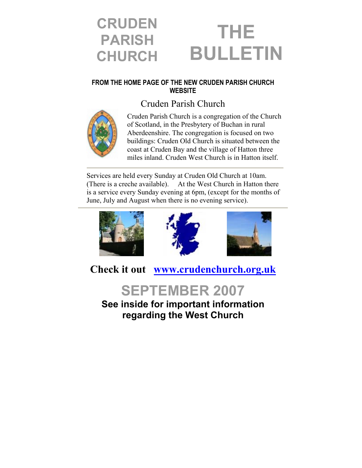### **CRUDEN PARISH CHURCH THE BULLETIN**

#### **FROM THE HOME PAGE OF THE NEW CRUDEN PARISH CHURCH WEBSITE**

### Cruden Parish Church



Cruden Parish Church is a congregation of the Church of Scotland, in the Presbytery of Buchan in rural Aberdeenshire. The congregation is focused on two buildings: Cruden Old Church is situated between the coast at Cruden Bay and the village of Hatton three miles inland. Cruden West Church is in Hatton itself.

Services are held every Sunday at Cruden Old Church at 10am. (There is a creche available). At the West Church in Hatton there is a service every Sunday evening at 6pm, (except for the months of June, July and August when there is no evening service).







**Check it out [www.crudenchurch.org.uk](http://www.crudenchurch.org.uk/)**



**See inside for important information regarding the West Church**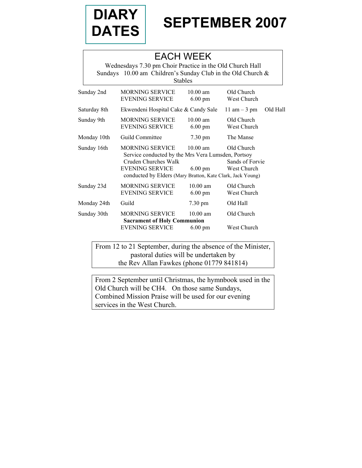

# DIARY | SEPTEMBER 2007

### EACH WEEK

Wednesdays 7.30 pm Choir Practice in the Old Church Hall Sundays 10.00 am Children's Sunday Club in the Old Church & Stables

| Sunday 2nd   | <b>MORNING SERVICE</b><br><b>EVENING SERVICE</b>                                                                                                                                             | $10.00$ am<br>$6.00 \text{ pm}$         | Old Church<br>West Church                    |          |
|--------------|----------------------------------------------------------------------------------------------------------------------------------------------------------------------------------------------|-----------------------------------------|----------------------------------------------|----------|
| Saturday 8th | Ekwendeni Hospital Cake & Candy Sale                                                                                                                                                         |                                         | 11 am $-$ 3 pm                               | Old Hall |
| Sunday 9th   | <b>MORNING SERVICE</b><br><b>EVENING SERVICE</b>                                                                                                                                             | $10.00$ am<br>$6.00 \text{ pm}$         | Old Church<br>West Church                    |          |
| Monday 10th  | Guild Committee                                                                                                                                                                              | $7.30 \text{ pm}$                       | The Manse                                    |          |
| Sunday 16th  | <b>MORNING SERVICE</b><br>Service conducted by the Mrs Vera Lumsden, Portsoy<br>Cruden Churches Walk<br><b>EVENING SERVICE</b><br>conducted by Elders (Mary Bratton, Kate Clark, Jack Young) | $10.00$ am<br>$6.00 \text{ pm}$         | Old Church<br>Sands of Forvie<br>West Church |          |
| Sunday 23d   | <b>MORNING SERVICE</b><br><b>EVENING SERVICE</b>                                                                                                                                             | $10.00 \text{ am}$<br>$6.00 \text{ pm}$ | Old Church<br>West Church                    |          |
| Monday 24th  | Guild                                                                                                                                                                                        | $7.30 \text{ pm}$                       | Old Hall                                     |          |
| Sunday 30th  | <b>MORNING SERVICE</b><br><b>Sacrament of Holy Communion</b>                                                                                                                                 | $10.00$ am                              | Old Church                                   |          |
|              | <b>EVENING SERVICE</b>                                                                                                                                                                       | $6.00 \text{ pm}$                       | West Church                                  |          |

From 12 to 21 September, during the absence of the Minister, pastoral duties will be undertaken by the Rev Allan Fawkes (phone 01779 841814)

From 2 September until Christmas, the hymnbook used in the Old Church will be CH4. On those same Sundays, Combined Mission Praise will be used for our evening services in the West Church.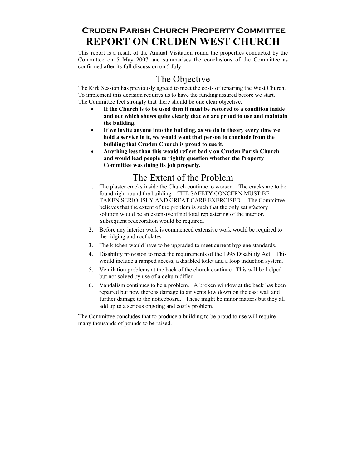### **Cruden Parish Church Property Committee REPORT ON CRUDEN WEST CHURCH**

This report is a result of the Annual Visitation round the properties conducted by the Committee on 5 May 2007 and summarises the conclusions of the Committee as confirmed after its full discussion on 5 July.

### The Objective

The Kirk Session has previously agreed to meet the costs of repairing the West Church. To implement this decision requires us to have the funding assured before we start. The Committee feel strongly that there should be one clear objective.

- **If the Church is to be used then it must be restored to a condition inside and out which shows quite clearly that we are proud to use and maintain the building.**
- **If we invite anyone into the building, as we do in theory every time we hold a service in it, we would want that person to conclude from the building that Cruden Church is proud to use it.**
- **Anything less than this would reflect badly on Cruden Parish Church and would lead people to rightly question whether the Property Committee was doing its job properly,**

### The Extent of the Problem

- 1. The plaster cracks inside the Church continue to worsen. The cracks are to be found right round the building. THE SAFETY CONCERN MUST BE TAKEN SERIOUSLY AND GREAT CARE EXERCISED. The Committee believes that the extent of the problem is such that the only satisfactory solution would be an extensive if not total replastering of the interior. Subsequent redecoration would be required.
- 2. Before any interior work is commenced extensive work would be required to the ridging and roof slates.
- 3. The kitchen would have to be upgraded to meet current hygiene standards.
- 4. Disability provision to meet the requirements of the 1995 Disability Act. This would include a ramped access, a disabled toilet and a loop induction system.
- 5. Ventilation problems at the back of the church continue. This will be helped but not solved by use of a dehumidifier.
- 6. Vandalism continues to be a problem. A broken window at the back has been repaired but now there is damage to air vents low down on the east wall and further damage to the noticeboard. These might be minor matters but they all add up to a serious ongoing and costly problem.

The Committee concludes that to produce a building to be proud to use will require many thousands of pounds to be raised.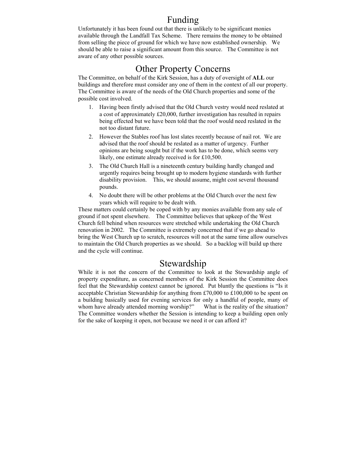### Funding

Unfortunately it has been found out that there is unlikely to be significant monies available through the Landfall Tax Scheme. There remains the money to be obtained from selling the piece of ground for which we have now established ownership. We should be able to raise a significant amount from this source. The Committee is not aware of any other possible sources.

### Other Property Concerns

The Committee, on behalf of the Kirk Session, has a duty of oversight of **ALL** our buildings and therefore must consider any one of them in the context of all our property. The Committee is aware of the needs of the Old Church properties and some of the possible cost involved.

- 1. Having been firstly advised that the Old Church vestry would need reslated at a cost of approximately £20,000, further investigation has resulted in repairs being effected but we have been told that the roof would need reslated in the not too distant future.
- 2. However the Stables roof has lost slates recently because of nail rot. We are advised that the roof should be reslated as a matter of urgency. Further opinions are being sought but if the work has to be done, which seems very likely, one estimate already received is for £10,500.
- 3. The Old Church Hall is a nineteenth century building hardly changed and urgently requires being brought up to modern hygiene standards with further disability provision. This, we should assume, might cost several thousand pounds.
- 4. No doubt there will be other problems at the Old Church over the next few years which will require to be dealt with.

These matters could certainly be coped with by any monies available from any sale of ground if not spent elsewhere. The Committee believes that upkeep of the West Church fell behind when resources were stretched while undertaking the Old Church renovation in 2002. The Committee is extremely concerned that if we go ahead to bring the West Church up to scratch, resources will not at the same time allow ourselves to maintain the Old Church properties as we should. So a backlog will build up there and the cycle will continue.

### Stewardship

While it is not the concern of the Committee to look at the Stewardship angle of property expenditure, as concerned members of the Kirk Session the Committee does feel that the Stewardship context cannot be ignored. Put bluntly the questions is "Is it acceptable Christian Stewardship for anything from £70,000 to £100,000 to be spent on a building basically used for evening services for only a handful of people, many of whom have already attended morning worship?" What is the reality of the situation? The Committee wonders whether the Session is intending to keep a building open only for the sake of keeping it open, not because we need it or can afford it?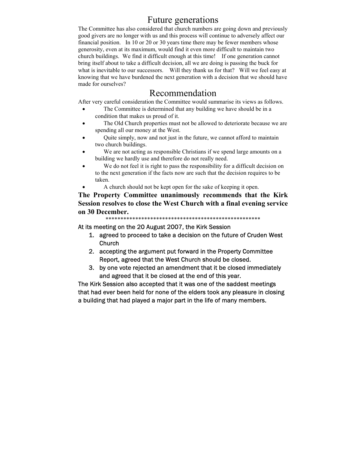### Future generations

The Committee has also considered that church numbers are going down and previously good givers are no longer with us and this process will continue to adversely affect our financial position. In 10 or 20 or 30 years time there may be fewer members whose generosity, even at its maximum, would find it even more difficult to maintain two church buildings. We find it difficult enough at this time! If one generation cannot bring itself about to take a difficult decision, all we are doing is passing the buck for what is inevitable to our successors. Will they thank us for that? Will we feel easy at knowing that we have burdened the next generation with a decision that we should have made for ourselves?

### Recommendation

After very careful consideration the Committee would summarise its views as follows.

- The Committee is determined that any building we have should be in a condition that makes us proud of it.
- The Old Church properties must not be allowed to deteriorate because we are spending all our money at the West.
- Quite simply, now and not just in the future, we cannot afford to maintain two church buildings.
- We are not acting as responsible Christians if we spend large amounts on a building we hardly use and therefore do not really need.
- We do not feel it is right to pass the responsibility for a difficult decision on to the next generation if the facts now are such that the decision requires to be taken.
	- A church should not be kept open for the sake of keeping it open.

**The Property Committee unanimously recommends that the Kirk Session resolves to close the West Church with a final evening service on 30 December.** 

\*\*\*\*\*\*\*\*\*\*\*\*\*\*\*\*\*\*\*\*\*\*\*\*\*\*\*\*\*\*\*\*\*\*\*\*\*\*\*\*\*\*\*\*\*\*\*\*\*\*\*\*

At its meeting on the 20 August 2007, the Kirk Session

- 1. agreed to proceed to take a decision on the future of Cruden West Church
- 2. accepting the argument put forward in the Property Committee Report, agreed that the West Church should be closed.
- 3. by one vote rejected an amendment that it be closed immediately and agreed that it be closed at the end of this year.

The Kirk Session also accepted that it was one of the saddest meetings that had ever been held for none of the elders took any pleasure in closing a building that had played a major part in the life of many members.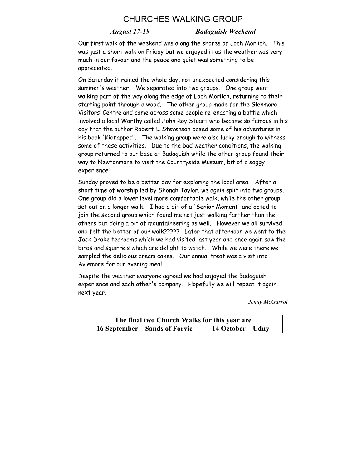### CHURCHES WALKING GROUP

#### *August 17-19 Badaguish Weekend*

Our first walk of the weekend was along the shores of Loch Morlich. This was just a short walk on Friday but we enjoyed it as the weather was very much in our favour and the peace and quiet was something to be appreciated.

On Saturday it rained the whole day, not unexpected considering this summer's weather. We separated into two groups. One group went walking part of the way along the edge of Loch Morlich, returning to their starting point through a wood. The other group made for the Glenmore Visitors' Centre and came across some people re-enacting a battle which involved a local Worthy called John Roy Stuart who became so famous in his day that the author Robert L. Stevenson based some of his adventures in his book 'Kidnapped'. The walking group were also lucky enough to witness some of these activities. Due to the bad weather conditions, the walking group returned to our base at Badaguish while the other group found their way to Newtonmore to visit the Countryside Museum, bit of a soggy experience!

Sunday proved to be a better day for exploring the local area. After a short time of worship led by Shonah Taylor, we again split into two groups. One group did a lower level more comfortable walk, while the other group set out on a longer walk. I had a bit of a 'Senior Moment' and opted to join the second group which found me not just walking farther than the others but doing a bit of mountaineering as well. However we all survived and felt the better of our walk????? Later that afternoon we went to the Jack Drake tearooms which we had visited last year and once again saw the birds and squirrels which are delight to watch. While we were there we sampled the delicious cream cakes. Our annual treat was a visit into Aviemore for our evening meal.

Despite the weather everyone agreed we had enjoyed the Badaguish experience and each other's company. Hopefully we will repeat it again next year.

*Jenny McGarrol* 

**The final two Church Walks for this year are 16 September Sands of Forvie 14 October Udny**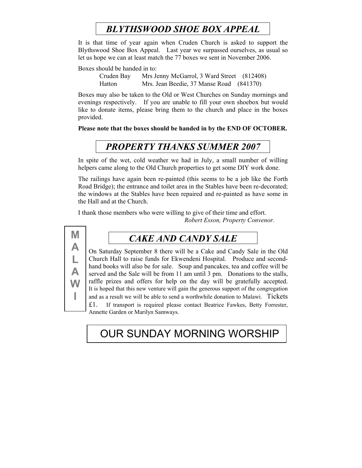## *BLYTHSWOOD SHOE BOX APPEAL*

It is that time of year again when Cruden Church is asked to support the Blythswood Shoe Box Appeal. Last year we surpassed ourselves, as usual so let us hope we can at least match the 77 boxes we sent in November 2006.

Boxes should be handed in to:

Cruden Bay Mrs Jenny McGarrol, 3 Ward Street (812408) Hatton Mrs. Jean Beedie, 37 Manse Road (841370)

Boxes may also be taken to the Old or West Churches on Sunday mornings and evenings respectively. If you are unable to fill your own shoebox but would like to donate items, please bring them to the church and place in the boxes provided.

**Please note that the boxes should be handed in by the END OF OCTOBER.** 

### *PROPERTY THANKS SUMMER 2007*

In spite of the wet, cold weather we had in July, a small number of willing helpers came along to the Old Church properties to get some DIY work done.

The railings have again been re-painted (this seems to be a job like the Forth Road Bridge); the entrance and toilet area in the Stables have been re-decorated; the windows at the Stables have been repaired and re-painted as have some in the Hall and at the Church.

I thank those members who were willing to give of their time and effort. *Robert Esson, Property Convenor.* 



### *CAKE AND CANDY SALE*

On Saturday September 8 there will be a Cake and Candy Sale in the Old Church Hall to raise funds for Ekwendeni Hospital. Produce and secondhand books will also be for sale. Soup and pancakes, tea and coffee will be served and the Sale will be from 11 am until 3 pm. Donations to the stalls, raffle prizes and offers for help on the day will be gratefully accepted. It is hoped that this new venture will gain the generous support of the congregation and as a result we will be able to send a worthwhile donation to Malawi. Tickets £1. If transport is required please contact Beatrice Fawkes, Betty Forrester,

Annette Garden or Marilyn Samways.

## OUR SUNDAY MORNING WORSHIP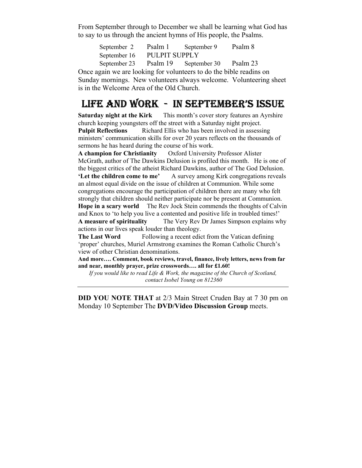From September through to December we shall be learning what God has to say to us through the ancient hymns of His people, the Psalms.

> September 2 Psalm 1 September 9 Psalm 8 September 16 PULPIT SUPPLY September 23 Psalm 19 September 30 Psalm 23

Once again we are looking for volunteers to do the bible readins on Sunday mornings. New volunteers always welcome. Volunteering sheet is in the Welcome Area of the Old Church.

## LIFE AND WORK - IN SEPTEMBER'S ISSUE

**Saturday night at the Kirk** This month's cover story features an Ayrshire church keeping youngsters off the street with a Saturday night project.

**Pulpit Reflections** Richard Ellis who has been involved in assessing ministers' communication skills for over 20 years reflects on the thousands of sermons he has heard during the course of his work.

**A champion for Christianity** Oxford University Professor Alister McGrath, author of The Dawkins Delusion is profiled this month. He is one of the biggest critics of the atheist Richard Dawkins, author of The God Delusion. **'Let the children come to me'** A survey among Kirk congregations reveals an almost equal divide on the issue of children at Communion. While some congregations encourage the participation of children there are many who felt strongly that children should neither participate nor be present at Communion. **Hope in a scary world** The Rev Jock Stein commends the thoughts of Calvin and Knox to 'to help you live a contented and positive life in troubled times!' **A measure of spirituality** The Very Rev Dr James Simpson explains why actions in our lives speak louder than theology.

**The Last Word** Following a recent edict from the Vatican defining 'proper' churches, Muriel Armstrong examines the Roman Catholic Church's view of other Christian denominations.

**And more…. Comment, book reviews, travel, finance, lively letters, news from far and near, monthly prayer, prize crosswords…. all for £1.60!** 

*If you would like to read Life & Work, the magazine of the Church of Scotland, contact Isobel Young on 812360* 

**DID YOU NOTE THAT** at 2/3 Main Street Cruden Bay at 7 30 pm on Monday 10 September The **DVD/Video Discussion Group** meets.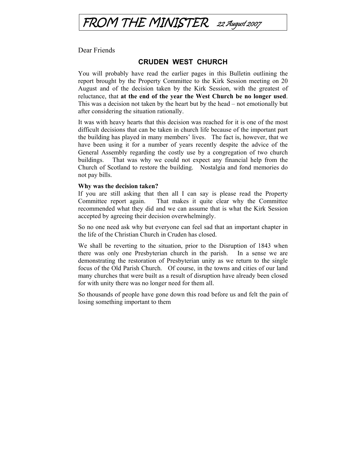

Dear Friends

#### **CRUDEN WEST CHURCH**

You will probably have read the earlier pages in this Bulletin outlining the report brought by the Property Committee to the Kirk Session meeting on 20 August and of the decision taken by the Kirk Session, with the greatest of reluctance, that **at the end of the year the West Church be no longer used**. This was a decision not taken by the heart but by the head – not emotionally but after considering the situation rationally.

It was with heavy hearts that this decision was reached for it is one of the most difficult decisions that can be taken in church life because of the important part the building has played in many members' lives. The fact is, however, that we have been using it for a number of years recently despite the advice of the General Assembly regarding the costly use by a congregation of two church buildings. That was why we could not expect any financial help from the Church of Scotland to restore the building. Nostalgia and fond memories do not pay bills.

#### **Why was the decision taken?**

If you are still asking that then all I can say is please read the Property Committee report again. That makes it quite clear why the Committee recommended what they did and we can assume that is what the Kirk Session accepted by agreeing their decision overwhelmingly.

So no one need ask why but everyone can feel sad that an important chapter in the life of the Christian Church in Cruden has closed.

We shall be reverting to the situation, prior to the Disruption of 1843 when there was only one Presbyterian church in the parish. In a sense we are demonstrating the restoration of Presbyterian unity as we return to the single focus of the Old Parish Church. Of course, in the towns and cities of our land many churches that were built as a result of disruption have already been closed for with unity there was no longer need for them all.

So thousands of people have gone down this road before us and felt the pain of losing something important to them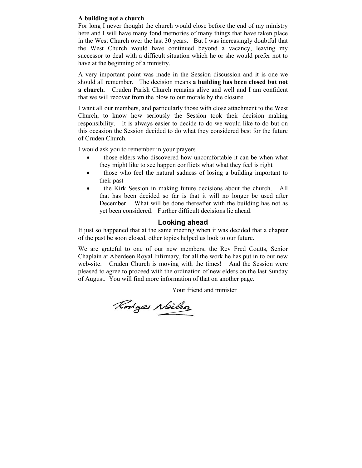#### **A building not a church**

For long I never thought the church would close before the end of my ministry here and I will have many fond memories of many things that have taken place in the West Church over the last 30 years. But I was increasingly doubtful that the West Church would have continued beyond a vacancy, leaving my successor to deal with a difficult situation which he or she would prefer not to have at the beginning of a ministry.

A very important point was made in the Session discussion and it is one we should all remember. The decision means **a building has been closed but not a church.** Cruden Parish Church remains alive and well and I am confident that we will recover from the blow to our morale by the closure.

I want all our members, and particularly those with close attachment to the West Church, to know how seriously the Session took their decision making responsibility. It is always easier to decide to do we would like to do but on this occasion the Session decided to do what they considered best for the future of Cruden Church.

I would ask you to remember in your prayers

- those elders who discovered how uncomfortable it can be when what they might like to see happen conflicts what what they feel is right
- those who feel the natural sadness of losing a building important to their past
- the Kirk Session in making future decisions about the church. All that has been decided so far is that it will no longer be used after December. What will be done thereafter with the building has not as yet been considered. Further difficult decisions lie ahead.

#### **Looking ahead**

It just so happened that at the same meeting when it was decided that a chapter of the past be soon closed, other topics helped us look to our future.

We are grateful to one of our new members, the Rev Fred Coutts, Senior Chaplain at Aberdeen Royal Infirmary, for all the work he has put in to our new web-site. Cruden Church is moving with the times! And the Session were pleased to agree to proceed with the ordination of new elders on the last Sunday of August. You will find more information of that on another page.

Your friend and minister

Rodges Nailson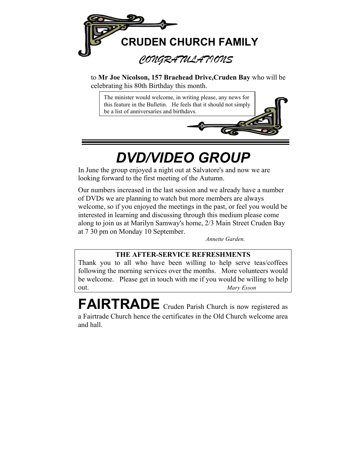

to **Mr Joe Nicolson, 157 Braehead Drive,Cruden Bay** who will be celebrating his 80th Birthday this month.

The minister would welcome, in writing please, any news for this feature in the Bulletin. He feels that it should not simply be a list of anniversaries and birthdays.

# *DVD/VIDEO GROUP*

In June the group enjoyed a night out at Salvatore's and now we are looking forward to the first meeting of the Autumn.

Our numbers increased in the last session and we already have a number of DVDs we are planning to watch but more members are always welcome, so if you enjoyed the meetings in the past, or feel you would be interested in learning and discussing through this medium please come along to join us at Marilyn Samway's home, 2/3 Main Street Cruden Bay at 7 30 pm on Monday 10 September.

*Annette Garden.*

### **THE AFTER-SERVICE REFRESHMENTS**

Thank you to all who have been willing to help serve teas/coffees following the morning services over the months. More volunteers would be welcome. Please get in touch with me if you would be willing to help out. *Mary Esson*

FAIRTRADE Cruden Parish Church is now registered as a Fairtrade Church hence the certificates in the Old Church welcome area and hall.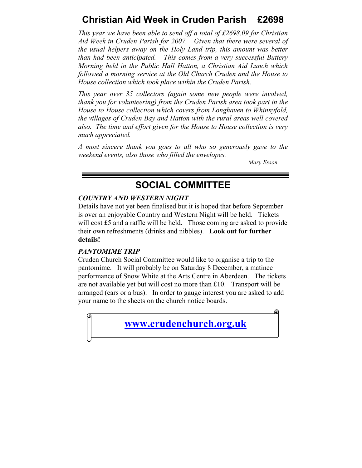### **Christian Aid Week in Cruden Parish £2698**

*This year we have been able to send off a total of £2698.09 for Christian Aid Week in Cruden Parish for 2007. Given that there were several of the usual helpers away on the Holy Land trip, this amount was better than had been anticipated. This comes from a very successful Buttery Morning held in the Public Hall Hatton, a Christian Aid Lunch which followed a morning service at the Old Church Cruden and the House to House collection which took place within the Cruden Parish.* 

*This year over 35 collectors (again some new people were involved, thank you for volunteering) from the Cruden Parish area took part in the House to House collection which covers from Longhaven to Whinnyfold, the villages of Cruden Bay and Hatton with the rural areas well covered also. The time and effort given for the House to House collection is very much appreciated.* 

*A most sincere thank you goes to all who so generously gave to the weekend events, also those who filled the envelopes.* 

*Mary Esson* 

### **SOCIAL COMMITTEE**

#### *COUNTRY AND WESTERN NIGHT*

Details have not yet been finalised but it is hoped that before September is over an enjoyable Country and Western Night will be held. Tickets will cost £5 and a raffle will be held. Those coming are asked to provide their own refreshments (drinks and nibbles). **Look out for further details!**

### *PANTOMIME TRIP*

Cruden Church Social Committee would like to organise a trip to the pantomime. It will probably be on Saturday 8 December, a matinee performance of Snow White at the Arts Centre in Aberdeen. The tickets are not available yet but will cost no more than £10. Transport will be arranged (cars or a bus). In order to gauge interest you are asked to add your name to the sheets on the church notice boards.

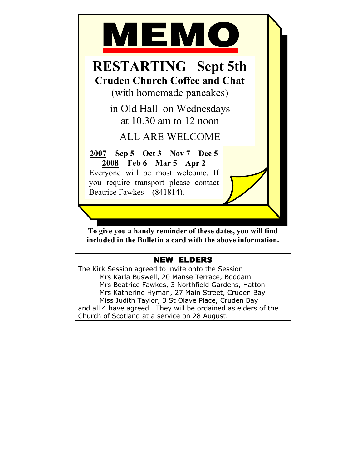

**To give you a handy reminder of these dates, you will find included in the Bulletin a card with the above information.** 

### NEW ELDERS

The Kirk Session agreed to invite onto the Session Mrs Karla Buswell, 20 Manse Terrace, Boddam Mrs Beatrice Fawkes, 3 Northfield Gardens, Hatton Mrs Katherine Hyman, 27 Main Street, Cruden Bay Miss Judith Taylor, 3 St Olave Place, Cruden Bay and all 4 have agreed. They will be ordained as elders of the Church of Scotland at a service on 28 August.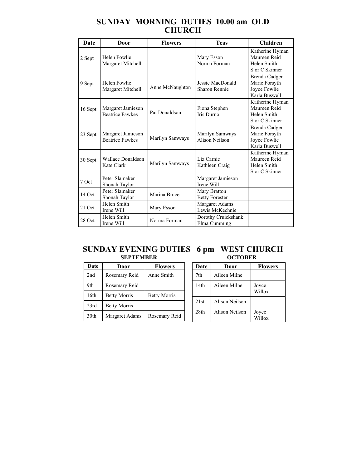### **SUNDAY MORNING DUTIES 10.00 am OLD CHURCH**

| Date    | Door                                        | <b>Flowers</b>  | <b>Teas</b>                              | <b>Children</b>                                                  |
|---------|---------------------------------------------|-----------------|------------------------------------------|------------------------------------------------------------------|
| 2 Sept  | Helen Fowlie<br>Margaret Mitchell           |                 | Mary Esson<br>Norma Forman               | Katherine Hyman<br>Maureen Reid<br>Helen Smith<br>S or C Skinner |
| 9 Sept  | Helen Fowlie<br>Margaret Mitchell           | Anne McNaughton | Jessie MacDonald<br>Sharon Rennie        | Brenda Cadger<br>Marie Forsyth<br>Joyce Fowlie<br>Karla Buswell  |
| 16 Sept | Margaret Jamieson<br><b>Beatrice Fawkes</b> | Pat Donaldson   | Fiona Stephen<br>Iris Durno              | Katherine Hyman<br>Maureen Reid<br>Helen Smith<br>S or C Skinner |
| 23 Sept | Margaret Jamieson<br><b>Beatrice Fawkes</b> | Marilyn Samways | Marilyn Samways<br>Alison Neilson        | Brenda Cadger<br>Marie Forsyth<br>Joyce Fowlie<br>Karla Buswell  |
| 30 Sept | <b>Wallace Donaldson</b><br>Kate Clark      | Marilyn Samways | Liz Carnie<br>Kathleen Craig             | Katherine Hyman<br>Maureen Reid<br>Helen Smith<br>S or C Skinner |
| 7 Oct   | Peter Slamaker<br>Shonah Taylor             |                 | Margaret Jamieson<br>Irene Will          |                                                                  |
| 14 Oct  | Peter Slamaker<br>Shonah Taylor             | Marina Bruce    | Mary Bratton<br><b>Betty Forester</b>    |                                                                  |
| 21 Oct  | Helen Smith<br>Irene Will                   | Mary Esson      | <b>Margaret Adams</b><br>Lewis McKechnie |                                                                  |
| 28 Oct  | Helen Smith<br>Irene Will                   | Norma Forman    | Dorothy Cruickshank<br>Elma Cumming      |                                                                  |

#### **SUNDAY EVENING DUTIES 6 pm WEST CHURCH SEPTEMBER OCTOBER SEPTEMBER**

| Date | Door                | <b>Flowers</b>      |
|------|---------------------|---------------------|
| 2nd  | Rosemary Reid       | Anne Smith          |
| 9th  | Rosemary Reid       |                     |
| 16th | <b>Betty Morris</b> | <b>Betty Morris</b> |
| 23rd | <b>Betty Morris</b> |                     |
| 30th | Margaret Adams      | Rosemary Reid       |

### **Date Door Flowers** 7th Aileen Milne 14th Aileen Milne Joyce Willox 21st Alison Neilson 28th Alison Neilson Joyce Willox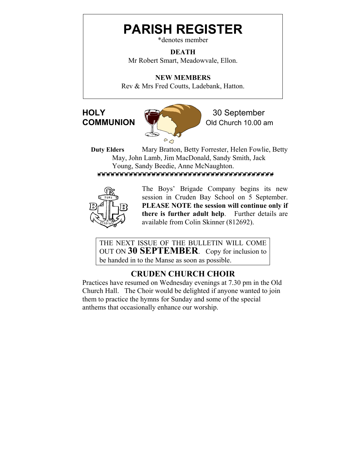# **PARISH REGISTER**

\*denotes member

**DEATH**  Mr Robert Smart, Meadowvale, Ellon.

**NEW MEMBERS**  Rev & Mrs Fred Coutts, Ladebank, Hatton.



**COMMUNION** W Old Church 10.00 am

**Duty Elders** Mary Bratton, Betty Forrester, Helen Fowlie, Betty May, John Lamb, Jim MacDonald, Sandy Smith, Jack Young, Sandy Beedie, Anne McNaughton.



The Boys' Brigade Company begins its new session in Cruden Bay School on 5 September. **PLEASE NOTE the session will continue only if there is further adult help**. Further details are available from Colin Skinner (812692).

THE NEXT ISSUE OF THE BULLETIN WILL COME OUT ON **30 SEPTEMBER**. Copy for inclusion to be handed in to the Manse as soon as possible.

### **CRUDEN CHURCH CHOIR**

Practices have resumed on Wednesday evenings at 7.30 pm in the Old Church Hall. The Choir would be delighted if anyone wanted to join them to practice the hymns for Sunday and some of the special anthems that occasionally enhance our worship.